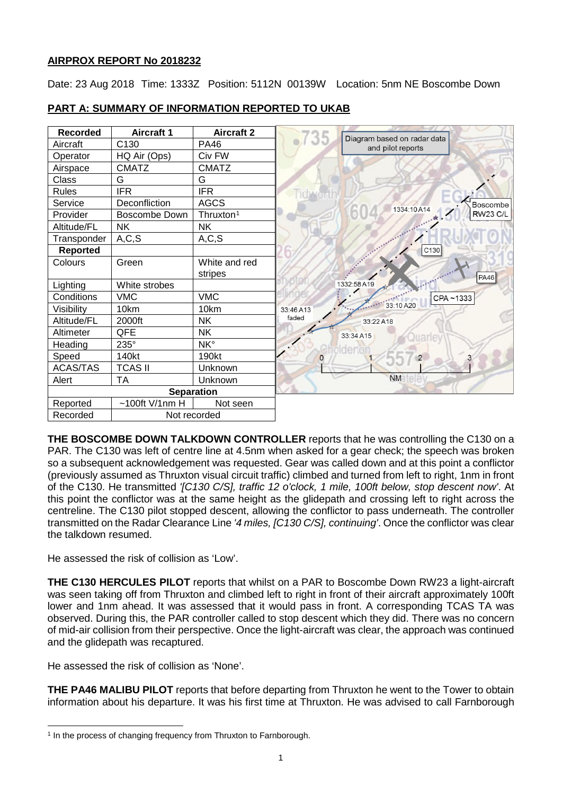## **AIRPROX REPORT No 2018232**

Date: 23 Aug 2018 Time: 1333Z Position: 5112N 00139W Location: 5nm NE Boscombe Down



# **PART A: SUMMARY OF INFORMATION REPORTED TO UKAB**

**THE BOSCOMBE DOWN TALKDOWN CONTROLLER** reports that he was controlling the C130 on a PAR. The C130 was left of centre line at 4.5nm when asked for a gear check; the speech was broken so a subsequent acknowledgement was requested. Gear was called down and at this point a conflictor (previously assumed as Thruxton visual circuit traffic) climbed and turned from left to right, 1nm in front of the C130. He transmitted *'[C130 C/S], traffic 12 o'clock, 1 mile, 100ft below, stop descent now'*. At this point the conflictor was at the same height as the glidepath and crossing left to right across the centreline. The C130 pilot stopped descent, allowing the conflictor to pass underneath. The controller transmitted on the Radar Clearance Line *'4 miles, [C130 C/S], continuing'*. Once the conflictor was clear the talkdown resumed.

He assessed the risk of collision as 'Low'.

**THE C130 HERCULES PILOT** reports that whilst on a PAR to Boscombe Down RW23 a light-aircraft was seen taking off from Thruxton and climbed left to right in front of their aircraft approximately 100ft lower and 1nm ahead. It was assessed that it would pass in front. A corresponding TCAS TA was observed. During this, the PAR controller called to stop descent which they did. There was no concern of mid-air collision from their perspective. Once the light-aircraft was clear, the approach was continued and the glidepath was recaptured.

He assessed the risk of collision as 'None'.

 $\overline{\phantom{a}}$ 

**THE PA46 MALIBU PILOT** reports that before departing from Thruxton he went to the Tower to obtain information about his departure. It was his first time at Thruxton. He was advised to call Farnborough

<span id="page-0-0"></span><sup>&</sup>lt;sup>1</sup> In the process of changing frequency from Thruxton to Farnborough.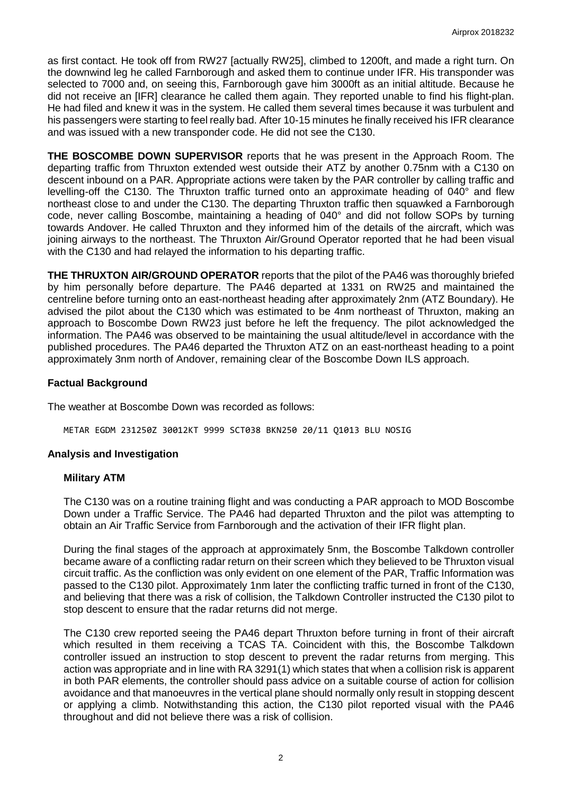as first contact. He took off from RW27 [actually RW25], climbed to 1200ft, and made a right turn. On the downwind leg he called Farnborough and asked them to continue under IFR. His transponder was selected to 7000 and, on seeing this, Farnborough gave him 3000ft as an initial altitude. Because he did not receive an [IFR] clearance he called them again. They reported unable to find his flight-plan. He had filed and knew it was in the system. He called them several times because it was turbulent and his passengers were starting to feel really bad. After 10-15 minutes he finally received his IFR clearance and was issued with a new transponder code. He did not see the C130.

**THE BOSCOMBE DOWN SUPERVISOR** reports that he was present in the Approach Room. The departing traffic from Thruxton extended west outside their ATZ by another 0.75nm with a C130 on descent inbound on a PAR. Appropriate actions were taken by the PAR controller by calling traffic and levelling-off the C130. The Thruxton traffic turned onto an approximate heading of 040° and flew northeast close to and under the C130. The departing Thruxton traffic then squawked a Farnborough code, never calling Boscombe, maintaining a heading of 040° and did not follow SOPs by turning towards Andover. He called Thruxton and they informed him of the details of the aircraft, which was joining airways to the northeast. The Thruxton Air/Ground Operator reported that he had been visual with the C130 and had relayed the information to his departing traffic.

**THE THRUXTON AIR/GROUND OPERATOR** reports that the pilot of the PA46 was thoroughly briefed by him personally before departure. The PA46 departed at 1331 on RW25 and maintained the centreline before turning onto an east-northeast heading after approximately 2nm (ATZ Boundary). He advised the pilot about the C130 which was estimated to be 4nm northeast of Thruxton, making an approach to Boscombe Down RW23 just before he left the frequency. The pilot acknowledged the information. The PA46 was observed to be maintaining the usual altitude/level in accordance with the published procedures. The PA46 departed the Thruxton ATZ on an east-northeast heading to a point approximately 3nm north of Andover, remaining clear of the Boscombe Down ILS approach.

### **Factual Background**

The weather at Boscombe Down was recorded as follows:

METAR EGDM 231250Z 30012KT 9999 SCT038 BKN250 20/11 Q1013 BLU NOSIG

#### **Analysis and Investigation**

#### **Military ATM**

The C130 was on a routine training flight and was conducting a PAR approach to MOD Boscombe Down under a Traffic Service. The PA46 had departed Thruxton and the pilot was attempting to obtain an Air Traffic Service from Farnborough and the activation of their IFR flight plan.

During the final stages of the approach at approximately 5nm, the Boscombe Talkdown controller became aware of a conflicting radar return on their screen which they believed to be Thruxton visual circuit traffic. As the confliction was only evident on one element of the PAR, Traffic Information was passed to the C130 pilot. Approximately 1nm later the conflicting traffic turned in front of the C130, and believing that there was a risk of collision, the Talkdown Controller instructed the C130 pilot to stop descent to ensure that the radar returns did not merge.

The C130 crew reported seeing the PA46 depart Thruxton before turning in front of their aircraft which resulted in them receiving a TCAS TA. Coincident with this, the Boscombe Talkdown controller issued an instruction to stop descent to prevent the radar returns from merging. This action was appropriate and in line with RA 3291(1) which states that when a collision risk is apparent in both PAR elements, the controller should pass advice on a suitable course of action for collision avoidance and that manoeuvres in the vertical plane should normally only result in stopping descent or applying a climb. Notwithstanding this action, the C130 pilot reported visual with the PA46 throughout and did not believe there was a risk of collision.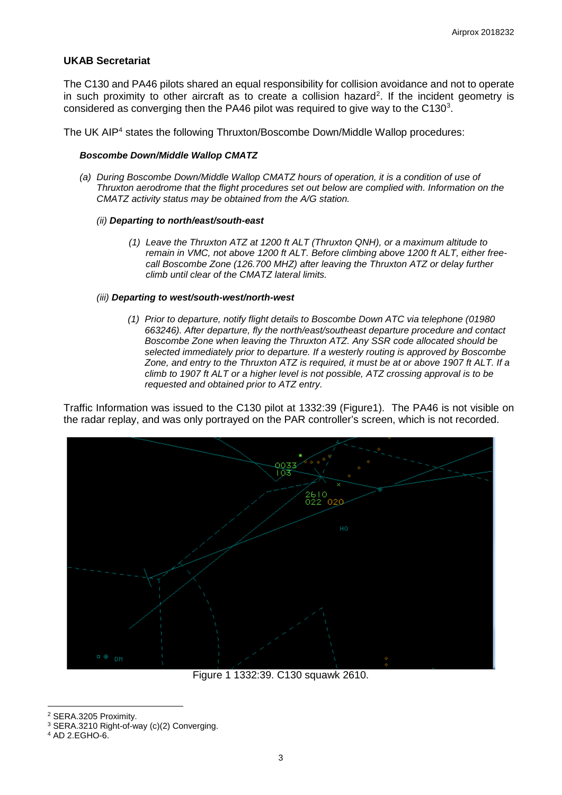#### **UKAB Secretariat**

The C130 and PA46 pilots shared an equal responsibility for collision avoidance and not to operate in such proximity to other aircraft as to create a collision hazard<sup>[2](#page-2-0)</sup>. If the incident geometry is considered as converging then the PA46 pilot was required to give way to the C130 $^3$ .

The UK AIP<sup>[4](#page-2-2)</sup> states the following Thruxton/Boscombe Down/Middle Wallop procedures:

#### *Boscombe Down/Middle Wallop CMATZ*

*(a) During Boscombe Down/Middle Wallop CMATZ hours of operation, it is a condition of use of Thruxton aerodrome that the flight procedures set out below are complied with. Information on the CMATZ activity status may be obtained from the A/G station.*

#### *(ii) Departing to north/east/south-east*

*(1) Leave the Thruxton ATZ at 1200 ft ALT (Thruxton QNH), or a maximum altitude to remain in VMC, not above 1200 ft ALT. Before climbing above 1200 ft ALT, either freecall Boscombe Zone (126.700 MHZ) after leaving the Thruxton ATZ or delay further climb until clear of the CMATZ lateral limits.*

#### *(iii) Departing to west/south-west/north-west*

*(1) Prior to departure, notify flight details to Boscombe Down ATC via telephone (01980 663246). After departure, fly the north/east/southeast departure procedure and contact Boscombe Zone when leaving the Thruxton ATZ. Any SSR code allocated should be selected immediately prior to departure. If a westerly routing is approved by Boscombe Zone, and entry to the Thruxton ATZ is required, it must be at or above 1907 ft ALT. If a climb to 1907 ft ALT or a higher level is not possible, ATZ crossing approval is to be requested and obtained prior to ATZ entry.*

Traffic Information was issued to the C130 pilot at 1332:39 (Figure1). The PA46 is not visible on the radar replay, and was only portrayed on the PAR controller's screen, which is not recorded.



Figure 1 1332:39. C130 squawk 2610.

 $\overline{\phantom{a}}$ <sup>2</sup> SERA.3205 Proximity.

<span id="page-2-1"></span><span id="page-2-0"></span><sup>3</sup> SERA.3210 Right-of-way (c)(2) Converging.

<span id="page-2-2"></span><sup>4</sup> AD 2.EGHO-6.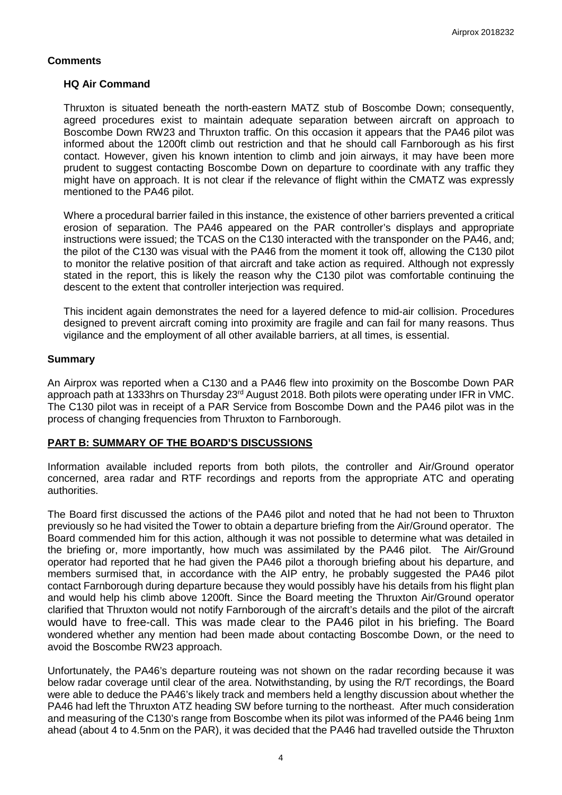### **Comments**

#### **HQ Air Command**

Thruxton is situated beneath the north-eastern MATZ stub of Boscombe Down; consequently, agreed procedures exist to maintain adequate separation between aircraft on approach to Boscombe Down RW23 and Thruxton traffic. On this occasion it appears that the PA46 pilot was informed about the 1200ft climb out restriction and that he should call Farnborough as his first contact. However, given his known intention to climb and join airways, it may have been more prudent to suggest contacting Boscombe Down on departure to coordinate with any traffic they might have on approach. It is not clear if the relevance of flight within the CMATZ was expressly mentioned to the PA46 pilot.

Where a procedural barrier failed in this instance, the existence of other barriers prevented a critical erosion of separation. The PA46 appeared on the PAR controller's displays and appropriate instructions were issued; the TCAS on the C130 interacted with the transponder on the PA46, and; the pilot of the C130 was visual with the PA46 from the moment it took off, allowing the C130 pilot to monitor the relative position of that aircraft and take action as required. Although not expressly stated in the report, this is likely the reason why the C130 pilot was comfortable continuing the descent to the extent that controller interjection was required.

This incident again demonstrates the need for a layered defence to mid-air collision. Procedures designed to prevent aircraft coming into proximity are fragile and can fail for many reasons. Thus vigilance and the employment of all other available barriers, at all times, is essential.

#### **Summary**

An Airprox was reported when a C130 and a PA46 flew into proximity on the Boscombe Down PAR approach path at 1333hrs on Thursday 23rd August 2018. Both pilots were operating under IFR in VMC. The C130 pilot was in receipt of a PAR Service from Boscombe Down and the PA46 pilot was in the process of changing frequencies from Thruxton to Farnborough.

### **PART B: SUMMARY OF THE BOARD'S DISCUSSIONS**

Information available included reports from both pilots, the controller and Air/Ground operator concerned, area radar and RTF recordings and reports from the appropriate ATC and operating authorities.

The Board first discussed the actions of the PA46 pilot and noted that he had not been to Thruxton previously so he had visited the Tower to obtain a departure briefing from the Air/Ground operator. The Board commended him for this action, although it was not possible to determine what was detailed in the briefing or, more importantly, how much was assimilated by the PA46 pilot. The Air/Ground operator had reported that he had given the PA46 pilot a thorough briefing about his departure, and members surmised that, in accordance with the AIP entry, he probably suggested the PA46 pilot contact Farnborough during departure because they would possibly have his details from his flight plan and would help his climb above 1200ft. Since the Board meeting the Thruxton Air/Ground operator clarified that Thruxton would not notify Farnborough of the aircraft's details and the pilot of the aircraft would have to free-call. This was made clear to the PA46 pilot in his briefing. The Board wondered whether any mention had been made about contacting Boscombe Down, or the need to avoid the Boscombe RW23 approach.

Unfortunately, the PA46's departure routeing was not shown on the radar recording because it was below radar coverage until clear of the area. Notwithstanding, by using the R/T recordings, the Board were able to deduce the PA46's likely track and members held a lengthy discussion about whether the PA46 had left the Thruxton ATZ heading SW before turning to the northeast. After much consideration and measuring of the C130's range from Boscombe when its pilot was informed of the PA46 being 1nm ahead (about 4 to 4.5nm on the PAR), it was decided that the PA46 had travelled outside the Thruxton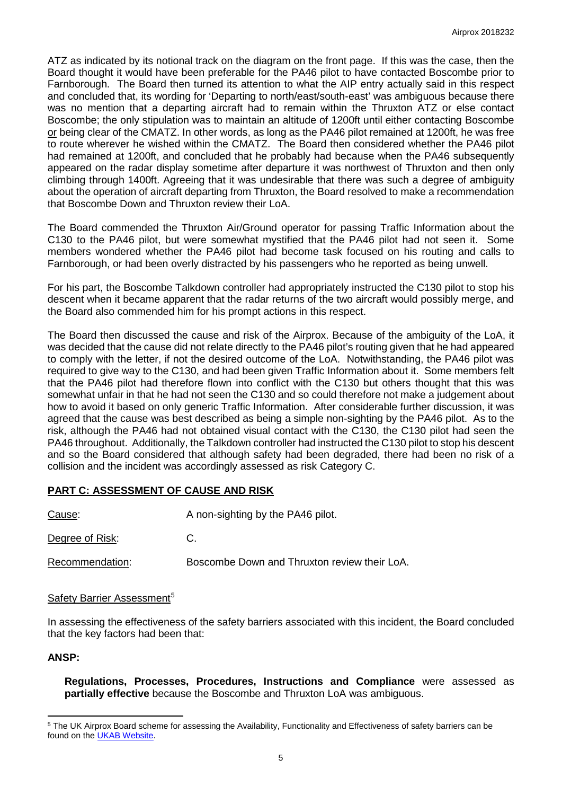ATZ as indicated by its notional track on the diagram on the front page. If this was the case, then the Board thought it would have been preferable for the PA46 pilot to have contacted Boscombe prior to Farnborough. The Board then turned its attention to what the AIP entry actually said in this respect and concluded that, its wording for 'Departing to north/east/south-east' was ambiguous because there was no mention that a departing aircraft had to remain within the Thruxton ATZ or else contact Boscombe; the only stipulation was to maintain an altitude of 1200ft until either contacting Boscombe or being clear of the CMATZ. In other words, as long as the PA46 pilot remained at 1200ft, he was free to route wherever he wished within the CMATZ. The Board then considered whether the PA46 pilot had remained at 1200ft, and concluded that he probably had because when the PA46 subsequently appeared on the radar display sometime after departure it was northwest of Thruxton and then only climbing through 1400ft. Agreeing that it was undesirable that there was such a degree of ambiguity about the operation of aircraft departing from Thruxton, the Board resolved to make a recommendation that Boscombe Down and Thruxton review their LoA.

The Board commended the Thruxton Air/Ground operator for passing Traffic Information about the C130 to the PA46 pilot, but were somewhat mystified that the PA46 pilot had not seen it. Some members wondered whether the PA46 pilot had become task focused on his routing and calls to Farnborough, or had been overly distracted by his passengers who he reported as being unwell.

For his part, the Boscombe Talkdown controller had appropriately instructed the C130 pilot to stop his descent when it became apparent that the radar returns of the two aircraft would possibly merge, and the Board also commended him for his prompt actions in this respect.

The Board then discussed the cause and risk of the Airprox. Because of the ambiguity of the LoA, it was decided that the cause did not relate directly to the PA46 pilot's routing given that he had appeared to comply with the letter, if not the desired outcome of the LoA. Notwithstanding, the PA46 pilot was required to give way to the C130, and had been given Traffic Information about it. Some members felt that the PA46 pilot had therefore flown into conflict with the C130 but others thought that this was somewhat unfair in that he had not seen the C130 and so could therefore not make a judgement about how to avoid it based on only generic Traffic Information. After considerable further discussion, it was agreed that the cause was best described as being a simple non-sighting by the PA46 pilot. As to the risk, although the PA46 had not obtained visual contact with the C130, the C130 pilot had seen the PA46 throughout. Additionally, the Talkdown controller had instructed the C130 pilot to stop his descent and so the Board considered that although safety had been degraded, there had been no risk of a collision and the incident was accordingly assessed as risk Category C.

### **PART C: ASSESSMENT OF CAUSE AND RISK**

| Cause:          | A non-sighting by the PA46 pilot.            |
|-----------------|----------------------------------------------|
| Degree of Risk: | C.                                           |
| Recommendation: | Boscombe Down and Thruxton review their LoA. |

## Safety Barrier Assessment<sup>[5](#page-4-0)</sup>

In assessing the effectiveness of the safety barriers associated with this incident, the Board concluded that the key factors had been that:

### **ANSP:**

l

**Regulations, Processes, Procedures, Instructions and Compliance** were assessed as **partially effective** because the Boscombe and Thruxton LoA was ambiguous.

<span id="page-4-0"></span><sup>5</sup> The UK Airprox Board scheme for assessing the Availability, Functionality and Effectiveness of safety barriers can be found on the [UKAB Website.](http://www.airproxboard.org.uk/Learn-more/Airprox-Barrier-Assessment/)